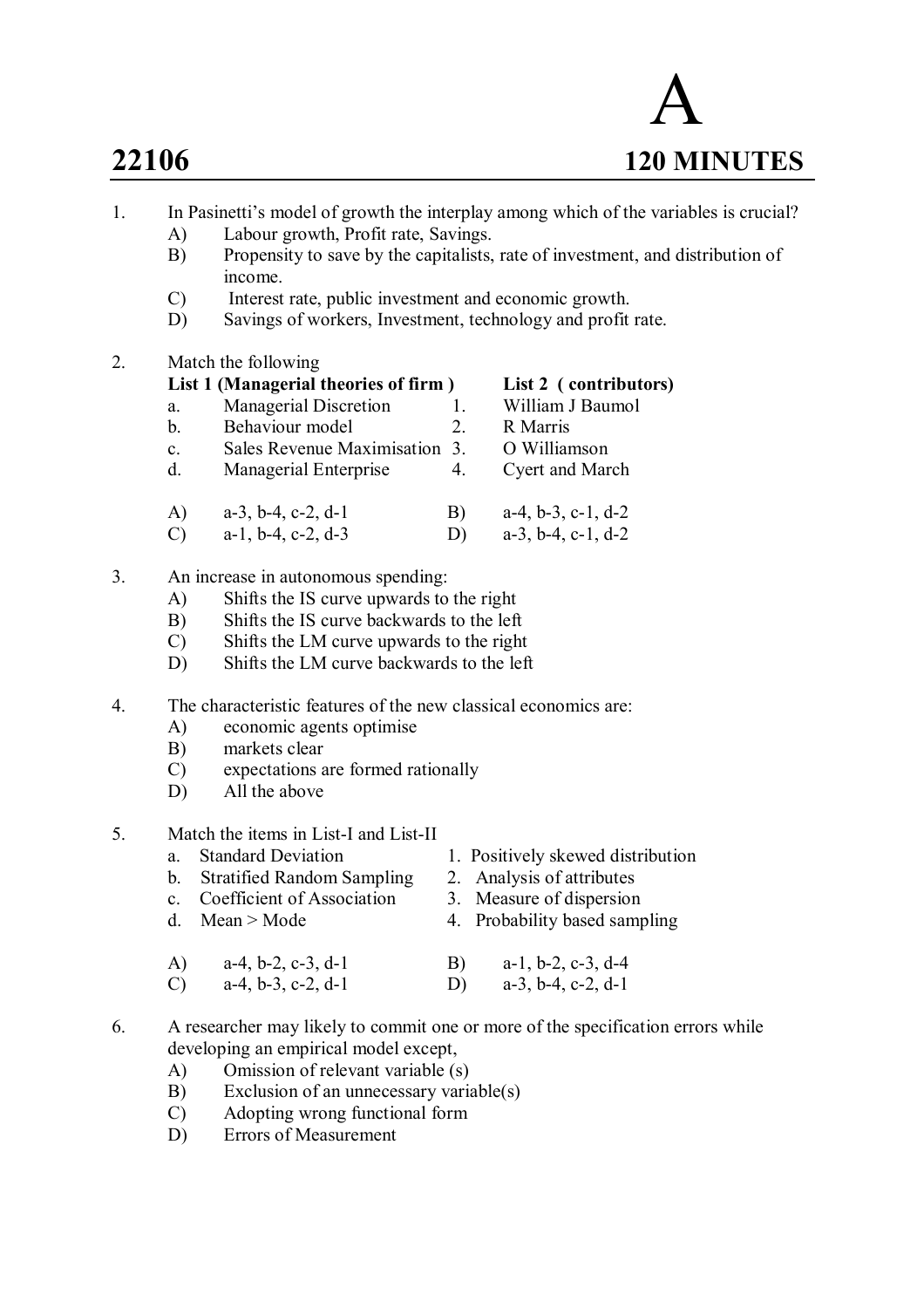

- 1. In Pasinetti's model of growth the interplay among which of the variables is crucial?
	- A) Labour growth, Profit rate, Savings.<br>B) Propensity to save by the capitalists.
		- Propensity to save by the capitalists, rate of investment, and distribution of income.
	- C) Interest rate, public investment and economic growth.
	- D) Savings of workers, Investment, technology and profit rate.
- 2. Match the following

|    |                | List 1 (Managerial theories of firm) |    | List 2 (contributors)         |
|----|----------------|--------------------------------------|----|-------------------------------|
|    | a.             | <b>Managerial Discretion</b>         |    | William J Baumol              |
|    | $\mathbf b$ .  | Behaviour model                      | 2. | R Marris                      |
|    | $\mathbf{c}$ . | Sales Revenue Maximisation 3.        |    | O Williamson                  |
|    | d.             | Managerial Enterprise                | 4. | Cyert and March               |
|    | A)             | $a-3$ , $b-4$ , $c-2$ , $d-1$        | B) | $a-4, b-3, c-1, d-2$          |
|    | $\mathcal{C}$  | $a-1$ , $b-4$ , $c-2$ , $d-3$        | D) | $a-3$ , $b-4$ , $c-1$ , $d-2$ |
| 3. |                | An increase in autonomous spending:  |    |                               |

- A) Shifts the IS curve upwards to the right
- B) Shifts the IS curve backwards to the left
- C) Shifts the LM curve upwards to the right
- D) Shifts the LM curve backwards to the left
- 4. The characteristic features of the new classical economics are:
	- A) economic agents optimise
	- B) markets clear
	- C) expectations are formed rationally
	- D) All the above
- 5. Match the items in List-I and List-II
	-
	- b. Stratified Random Sampling
	- a. Standard Deviation 1. Positively skewed distribution<br>b. Stratified Random Sampling 2. Analysis of attributes
		-
	- c. Coefficient of Association 3. Measure of dispersion
	- d. Mean > Mode  $4.$  Probability based sampling
	- A) a-4, b-2, c-3, d-1 B) a-1, b-2, c-3, d-4
	- C)  $a-4, b-3, c-2, d-1$  D)  $a-3, b-4, c-2, d-1$
- 6. A researcher may likely to commit one or more of the specification errors while developing an empirical model except,
	- A) Omission of relevant variable (s)
	- B) Exclusion of an unnecessary variable(s)
	- C) Adopting wrong functional form
	- D) Errors of Measurement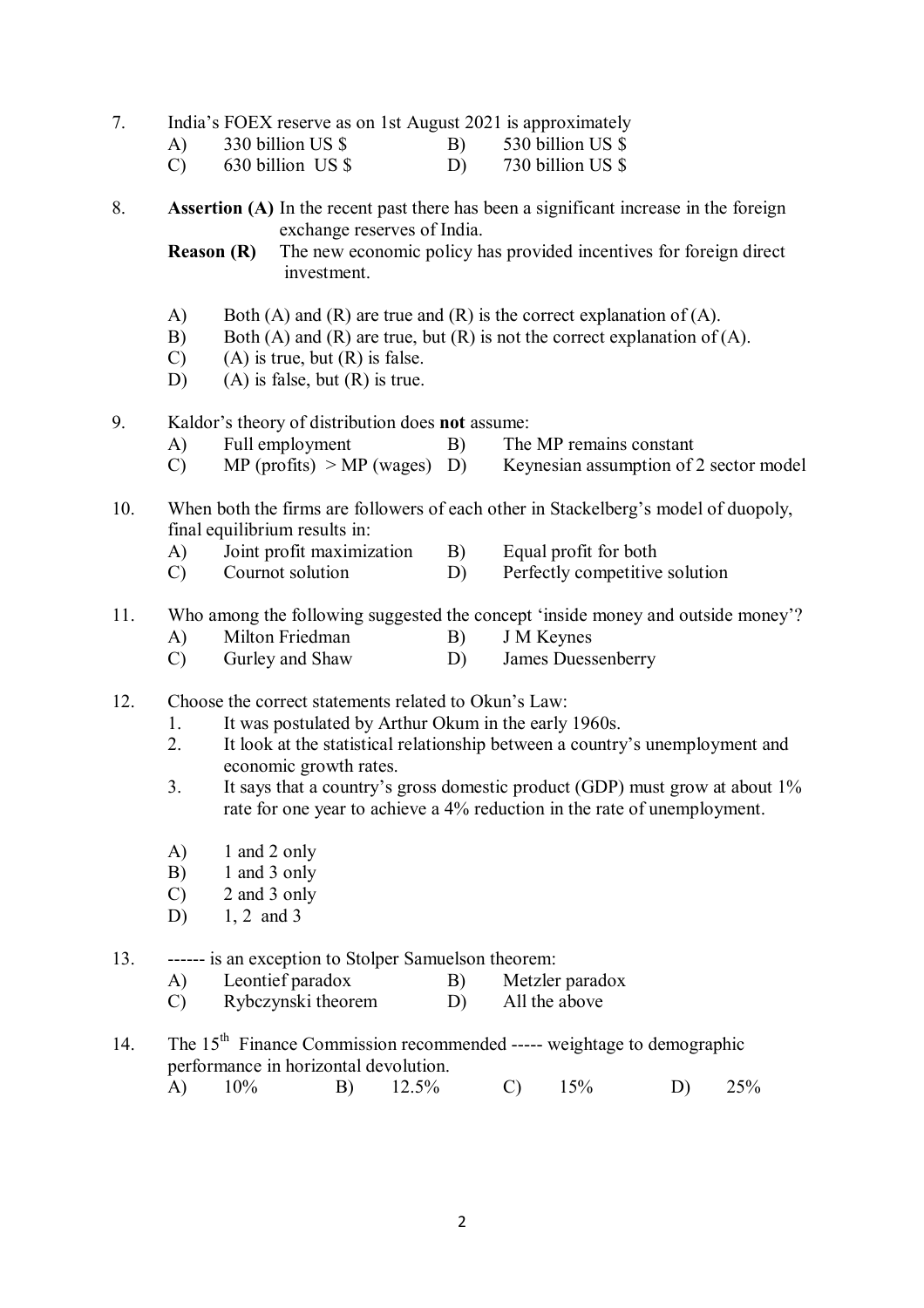## 7. India's FOEX reserve as on 1st August 2021 is approximately

| A) | 330 billion US \$ | 530 billion US \$ |  |
|----|-------------------|-------------------|--|
|    |                   |                   |  |

C) 630 billion US \$ D) 730 billion US \$

## 8. **Assertion (A)** In the recent past there has been a significant increase in the foreign exchange reserves of India.

**Reason (R)** The new economic policy has provided incentives for foreign direct investment.

- A) Both (A) and (R) are true and (R) is the correct explanation of (A).
- B) Both (A) and (R) are true, but (R) is not the correct explanation of (A).
- $(C)$  (A) is true, but  $(R)$  is false.
- D) (A) is false, but (R) is true.

## 9. Kaldor's theory of distribution does **not** assume:

- A) Full employment B) The MP remains constant
- C) MP (profits)  $> MP$  (wages) D) Keynesian assumption of 2 sector model
- 10. When both the firms are followers of each other in Stackelberg's model of duopoly, final equilibrium results in:
	- A) Joint profit maximization B) Equal profit for both
	- C) Cournot solution D) Perfectly competitive solution

### 11. Who among the following suggested the concept 'inside money and outside money'?

- A) Milton Friedman B) J M Keynes
- C) Gurley and Shaw D) James Duessenberry
- 12. Choose the correct statements related to Okun's Law:
	- 1. It was postulated by Arthur Okum in the early 1960s.
	- 2. It look at the statistical relationship between a country's unemployment and economic growth rates.
	- 3. It says that a country's gross domestic product (GDP) must grow at about 1% rate for one year to achieve a 4% reduction in the rate of unemployment.
	- A) 1 and 2 only
	- B) 1 and 3 only
	- C) 2 and 3 only
	- D) 1, 2 and 3
- 13. ------ is an exception to Stolper Samuelson theorem:
	- A) Leontief paradox B) Metzler paradox
	- C) Rybczynski theorem D) All the above
- 14. The 15<sup>th</sup> Finance Commission recommended ----- weightage to demographic performance in horizontal devolution.
	- A) 10% B) 12.5% C) 15% D) 25%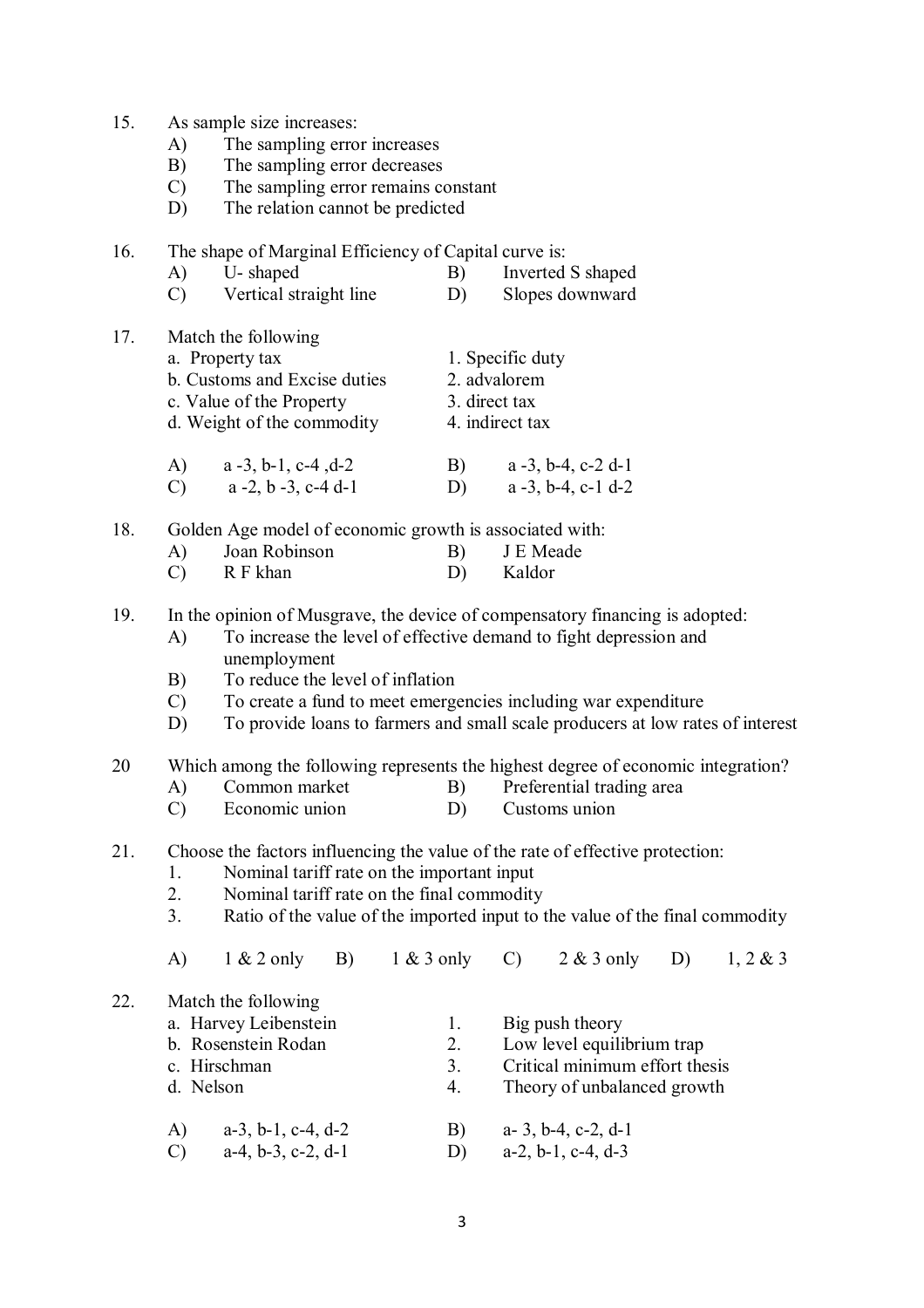| 15. |  | As sample size increases: |
|-----|--|---------------------------|
|     |  |                           |

- A) The sampling error increases
- B) The sampling error decreases
- C) The sampling error remains constant
- D) The relation cannot be predicted
- 16. The shape of Marginal Efficiency of Capital curve is:
	- A) U- shaped B) Inverted S shaped C) Vertical straight line D) Slopes downward
	-
- 17. Match the following a. Property tax 1. Specific duty
	- - b. Customs and Excise duties 2. advalorem
		- c. Value of the Property 3. direct tax
		- d. Weight of the commodity 4. indirect tax
		- A) a -3, b-1, c-4 ,d-2 B) a -3, b-4, c-2 d-1 C)  $a -2, b -3, c -4, d - 1$  D)  $a -3, b -4, c - 1, d - 2$

18. Golden Age model of economic growth is associated with:

- A) Joan Robinson B) J E Meade C) R F khan D) Kaldor
- 19. In the opinion of Musgrave, the device of compensatory financing is adopted:
	- A) To increase the level of effective demand to fight depression and unemployment
	- B) To reduce the level of inflation
	- C) To create a fund to meet emergencies including war expenditure
	- D) To provide loans to farmers and small scale producers at low rates of interest
- 20 Which among the following represents the highest degree of economic integration?
	- A) Common market B) Preferential trading area
	- C) Economic union D) Customs union
- 21. Choose the factors influencing the value of the rate of effective protection:
	- 1. Nominal tariff rate on the important input
	- 2. Nominal tariff rate on the final commodity<br>3 Ratio of the value of the imported input to t
	- Ratio of the value of the imported input to the value of the final commodity

|     | A) | $1 & 2$ only B)               | $1 & 3$ only C) | $2 & 3$ only                   | D) | 1, 2 & 3 |
|-----|----|-------------------------------|-----------------|--------------------------------|----|----------|
| 22. |    | Match the following           |                 |                                |    |          |
|     |    | a. Harvey Leibenstein         |                 | Big push theory                |    |          |
|     |    | b. Rosenstein Rodan           | 2.              | Low level equilibrium trap     |    |          |
|     |    | c. Hirschman                  | 3.              | Critical minimum effort thesis |    |          |
|     |    | d. Nelson                     | 4.              | Theory of unbalanced growth    |    |          |
|     | A) | $a-3$ , $b-1$ , $c-4$ , $d-2$ | B)              | a- 3, b-4, c-2, d-1            |    |          |
|     | C) | $a-4, b-3, c-2, d-1$          | D)              | $a-2, b-1, c-4, d-3$           |    |          |
|     |    |                               |                 |                                |    |          |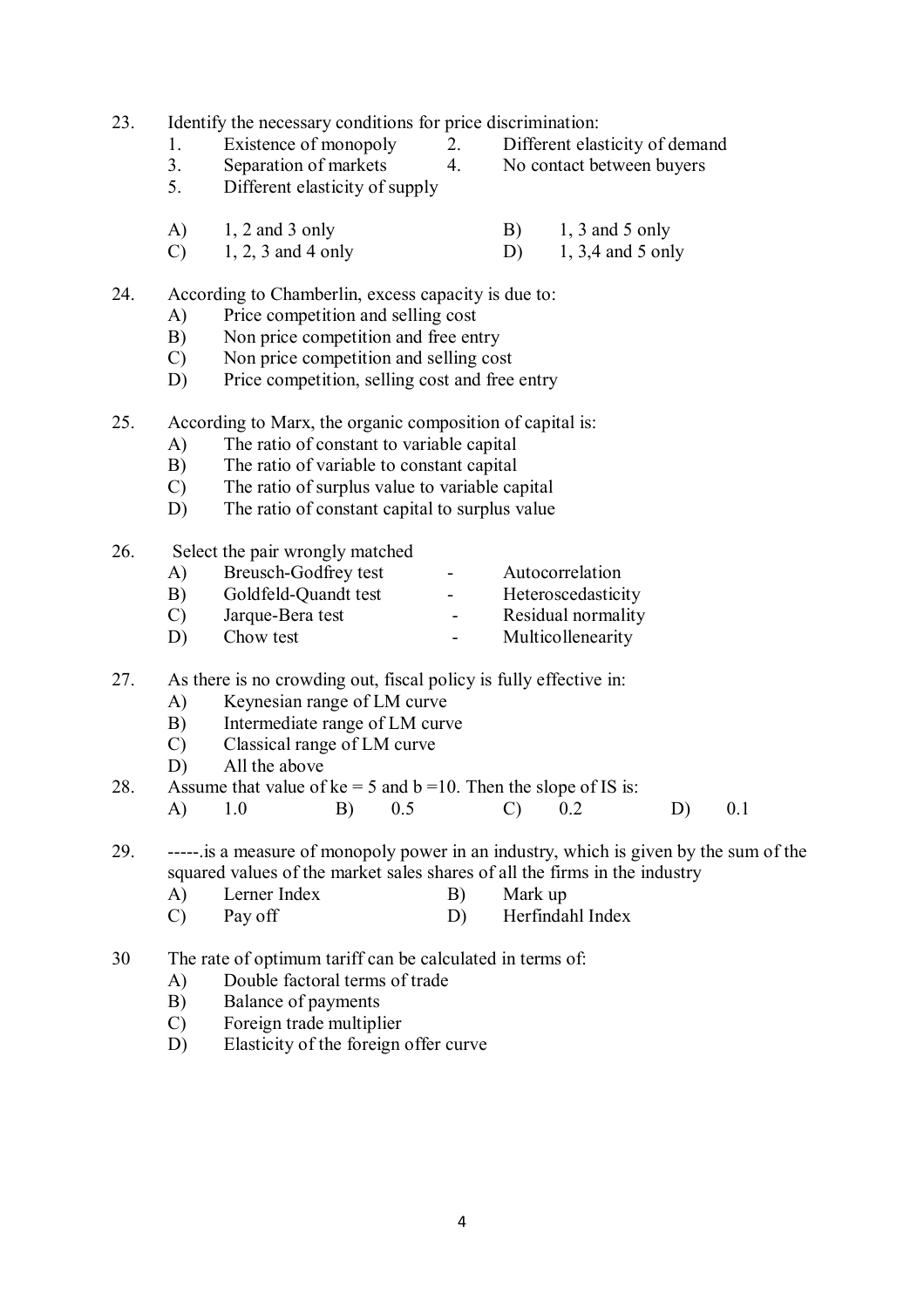23. Identify the necessary conditions for price discrimination:

- - 3. Separation of markets 4. No contact between buyers

1. Existence of monopoly 2. Different elasticity of demand<br>3 Separation of markets 4 No contact between buvers

- 
- 5. Different elasticity of supply
- A) 1, 2 and 3 only B) 1, 3 and 5 only C) 1, 2, 3 and 4 only D) 1, 3,4 and 5 only
- C) 1, 2, 3 and 4 only D)

# 24. According to Chamberlin, excess capacity is due to:

- A) Price competition and selling cost
- B) Non price competition and free entry
- C) Non price competition and selling cost
- D) Price competition, selling cost and free entry
- 25. According to Marx, the organic composition of capital is:
	- A) The ratio of constant to variable capital
	- B) The ratio of variable to constant capital
	- C) The ratio of surplus value to variable capital
	- D) The ratio of constant capital to surplus value

# 26. Select the pair wrongly matched

| A)            | Breusch-Godfrey test | -      | Autocorrelation    |
|---------------|----------------------|--------|--------------------|
| B)            | Goldfeld-Quandt test | -      | Heteroscedasticity |
| $\mathcal{C}$ | Jarque-Bera test     | $\sim$ | Residual normality |
| D)            | Chow test            | $\sim$ | Multicollenearity  |

# 27. As there is no crowding out, fiscal policy is fully effective in:

- A) Keynesian range of LM curve
- B) Intermediate range of LM curve
- C) Classical range of LM curve
- D) All the above

28. Assume that value of  $ke = 5$  and  $b = 10$ . Then the slope of IS is: A) 1.0 B) 0.5 C) 0.2 D) 0.1

- 29. -----.is a measure of monopoly power in an industry, which is given by the sum of the squared values of the market sales shares of all the firms in the industry
	- A) Lerner Index B) Mark up
	- C) Pay off D) Herfindahl Index
- 30 The rate of optimum tariff can be calculated in terms of:
	- A) Double factoral terms of trade
	- B) Balance of payments
	- C) Foreign trade multiplier
	- D) Elasticity of the foreign offer curve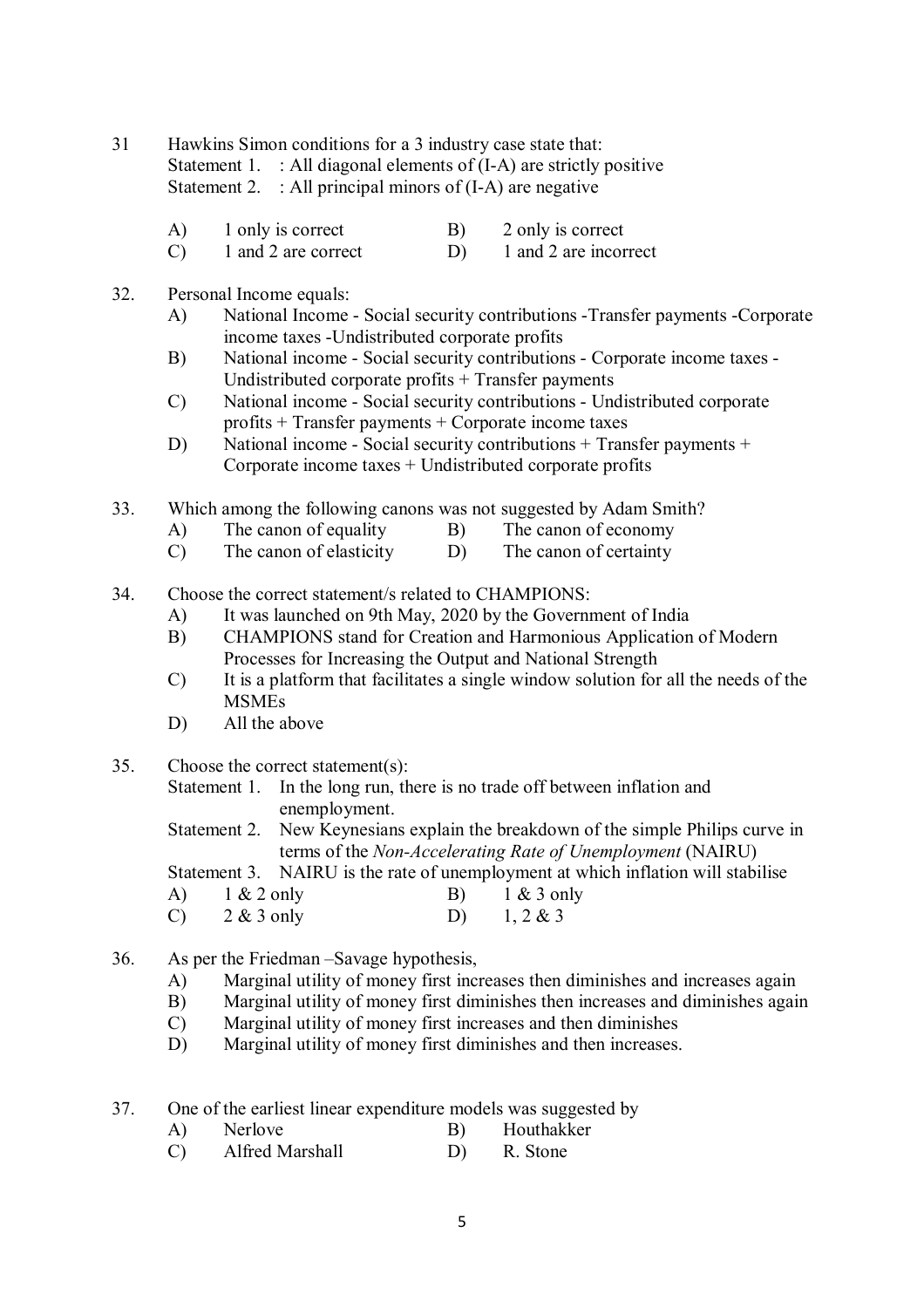31 Hawkins Simon conditions for a 3 industry case state that: Statement 1. : All diagonal elements of (I-A) are strictly positive Statement 2.  $\therefore$  All principal minors of (I-A) are negative

- A) 1 only is correct B) 2 only is correct
- C) 1 and 2 are correct D) 1 and 2 are incorrect
- 32. Personal Income equals:
	- A) National Income Social security contributions -Transfer payments -Corporate income taxes -Undistributed corporate profits
	- B) National income Social security contributions Corporate income taxes Undistributed corporate profits + Transfer payments
	- C) National income Social security contributions Undistributed corporate profits + Transfer payments + Corporate income taxes
	- D) National income Social security contributions + Transfer payments + Corporate income taxes + Undistributed corporate profits
- 33. Which among the following canons was not suggested by Adam Smith?
	- A) The canon of equality B) The canon of economy
	- C) The canon of elasticity D) The canon of certainty
- 34. Choose the correct statement/s related to CHAMPIONS:
	- A) It was launched on 9th May, 2020 by the Government of India
	- B) CHAMPIONS stand for Creation and Harmonious Application of Modern Processes for Increasing the Output and National Strength
	- C) It is a platform that facilitates a single window solution for all the needs of the MSMEs
	- D) All the above
- 35. Choose the correct statement(s):
	- Statement 1. In the long run, there is no trade off between inflation and enemployment.
	- Statement 2. New Keynesians explain the breakdown of the simple Philips curve in terms of the *Non-Accelerating Rate of Unemployment* (NAIRU)

Statement 3. NAIRU is the rate of unemployment at which inflation will stabilise

- A) 1 & 2 only B) 1 & 3 only C)  $2 \& 3$  only D)  $1, 2 \& 3$
- 
- 36. As per the Friedman –Savage hypothesis,
	- A) Marginal utility of money first increases then diminishes and increases again
	- B) Marginal utility of money first diminishes then increases and diminishes again
	- C) Marginal utility of money first increases and then diminishes
	- D) Marginal utility of money first diminishes and then increases.
- 37. One of the earliest linear expenditure models was suggested by
	- A) Nerlove B) Houthakker
	- C) Alfred Marshall D) R. Stone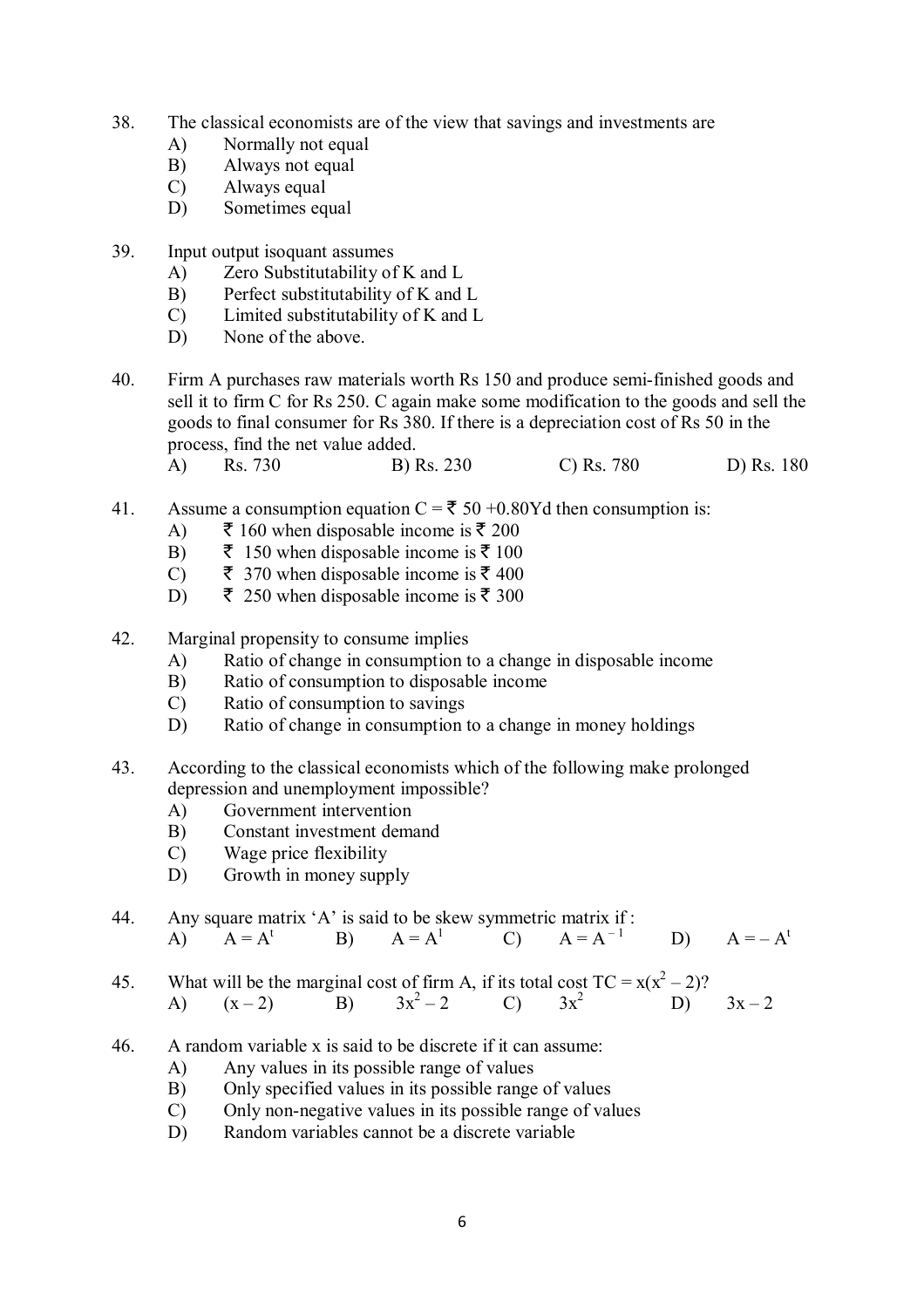- 38. The classical economists are of the view that savings and investments are
	- A) Normally not equal
	- B) Always not equal
	- C) Always equal
	- D) Sometimes equal
- 39. Input output isoquant assumes
	- A) Zero Substitutability of K and L
	- B) Perfect substitutability of K and L
	- C) Limited substitutability of K and L
	- D) None of the above.
- 40. Firm A purchases raw materials worth Rs 150 and produce semi-finished goods and sell it to firm C for Rs 250. C again make some modification to the goods and sell the goods to final consumer for Rs 380. If there is a depreciation cost of Rs 50 in the process, find the net value added.
	- A) Rs. 730 B) Rs. 230 C) Rs. 780 D) Rs. 180
- 41. Assume a consumption equation  $C = \overline{5} 50 + 0.80Yd$  then consumption is:
	- A)  $\bar{\xi}$  160 when disposable income is  $\bar{\xi}$  200
	- B)  $\bar{\bar{\xi}}$  150 when disposable income is  $\bar{\bar{\xi}}$  100
	- C)  $\bar{\bar{\xi}}$  370 when disposable income is  $\bar{\bar{\xi}}$  400
	- D)  $\bar{\bar{\xi}}$  250 when disposable income is  $\bar{\bar{\xi}}$  300
- 42. Marginal propensity to consume implies
	- A) Ratio of change in consumption to a change in disposable income
	- B) Ratio of consumption to disposable income
	- C) Ratio of consumption to savings
	- D) Ratio of change in consumption to a change in money holdings
- 43. According to the classical economists which of the following make prolonged depression and unemployment impossible?
	- A) Government intervention
	- B) Constant investment demand
	- C) Wage price flexibility
	- D) Growth in money supply
- 44. Any square matrix 'A' is said to be skew symmetric matrix if :<br>
A)  $A = A^t$  B)  $A = A^1$  C)  $A = A^{-1}$ A)  $A = A^t$  B)  $A = A^1$  C)  $A = A^{-1}$ D)  $A = -A^t$
- 45. What will be the marginal cost of firm A, if its total cost  $TC = x(x^2 2)$ ? A)  $(x-2)$  B)  $3x^2-2$ (c)  $3x^2$  D)  $3x-2$
- 46. A random variable x is said to be discrete if it can assume:
	- A) Any values in its possible range of values
	- B) Only specified values in its possible range of values
	- C) Only non-negative values in its possible range of values
	- D) Random variables cannot be a discrete variable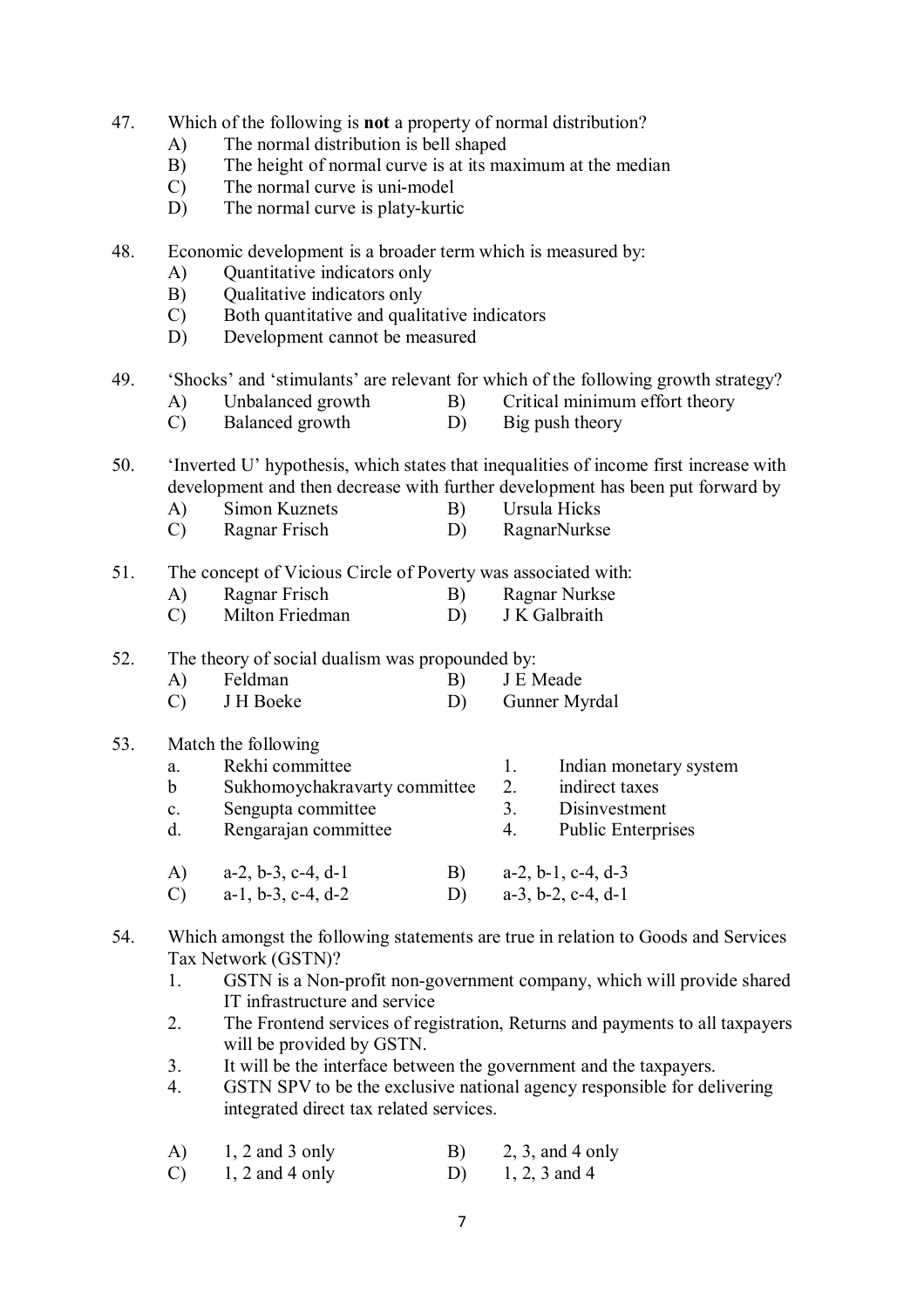- 47. Which of the following is **not** a property of normal distribution?
	- A) The normal distribution is bell shaped
	- B) The height of normal curve is at its maximum at the median
	- C) The normal curve is uni-model
	- D) The normal curve is platy-kurtic
- 48. Economic development is a broader term which is measured by:
	- A) Quantitative indicators only
	- B) Qualitative indicators only
	- C) Both quantitative and qualitative indicators
	- D) Development cannot be measured
- 49. 'Shocks' and 'stimulants' are relevant for which of the following growth strategy?
	- A) Unbalanced growth B) Critical minimum effort theory
	- C) Balanced growth D) Big push theory

50. 'Inverted U' hypothesis, which states that inequalities of income first increase with development and then decrease with further development has been put forward by

- A) Simon Kuznets B) Ursula Hicks
- C) Ragnar Frisch D) RagnarNurkse

51. The concept of Vicious Circle of Poverty was associated with:

- A) Ragnar Frisch B) Ragnar Nurkse
- C) Milton Friedman D) J K Galbraith
- 52. The theory of social dualism was propounded by:
	- A) Feldman B) J E Meade
	- C) J H Boeke D) Gunner Myrdal
- 53. Match the following

| a.<br>$\mathbf b$<br>$\mathbf{c}$ .<br>d. | Rekhi committee<br>Sukhomoychakravarty committee<br>Sengupta committee<br>Rengarajan committee |    | 2.<br>3<br>4. | Indian monetary system<br>indirect taxes<br>Disinvestment<br><b>Public Enterprises</b> |
|-------------------------------------------|------------------------------------------------------------------------------------------------|----|---------------|----------------------------------------------------------------------------------------|
| $\mathbf{A}$<br>$\mathcal{C}$             | $a-2, b-3, c-4, d-1$<br>$a-1$ , $b-3$ , $c-4$ , $d-2$                                          | B) |               | $a-2, b-1, c-4, d-3$<br>$a-3$ , $b-2$ , $c-4$ , $d-1$                                  |

- 54. Which amongst the following statements are true in relation to Goods and Services Tax Network (GSTN)?
	- 1. GSTN is a Non-profit non-government company, which will provide shared IT infrastructure and service
	- 2. The Frontend services of registration, Returns and payments to all taxpayers will be provided by GSTN.
	- 3. It will be the interface between the government and the taxpayers.
	- 4. GSTN SPV to be the exclusive national agency responsible for delivering integrated direct tax related services.

| A)            | $1, 2$ and 3 only | B) | $2, 3,$ and 4 only |
|---------------|-------------------|----|--------------------|
| $\mathcal{C}$ | $1, 2$ and 4 only | D) | 1, 2, 3 and 4      |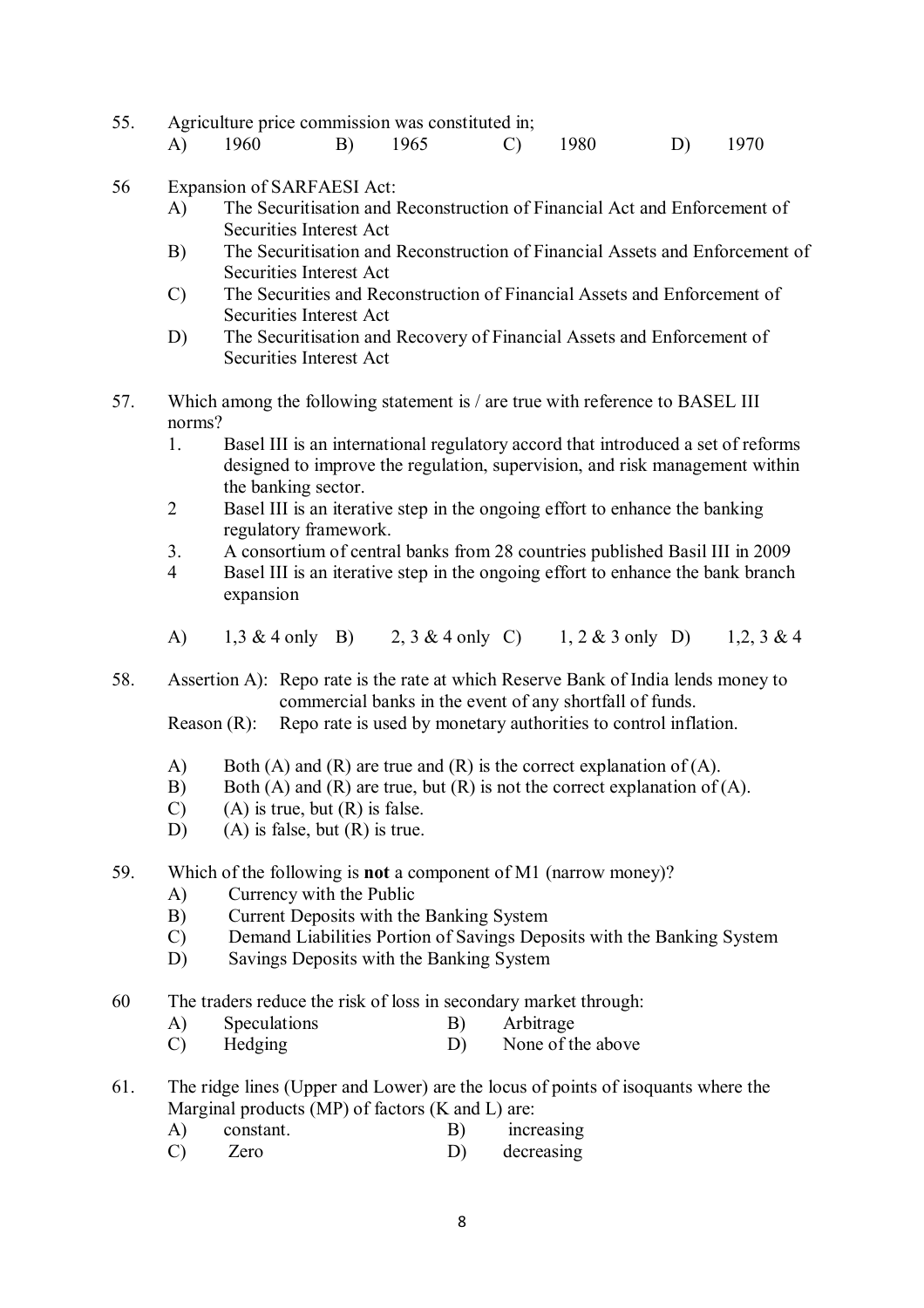55. Agriculture price commission was constituted in;

| A) 1960 | B) 1965 |  |  |  | C) $1980$ D) $1970$ |  |
|---------|---------|--|--|--|---------------------|--|
|---------|---------|--|--|--|---------------------|--|

- 56 Expansion of SARFAESI Act:
	- A) The Securitisation and Reconstruction of Financial Act and Enforcement of Securities Interest Act
	- B) The Securitisation and Reconstruction of Financial Assets and Enforcement of Securities Interest Act
	- C) The Securities and Reconstruction of Financial Assets and Enforcement of Securities Interest Act
	- D) The Securitisation and Recovery of Financial Assets and Enforcement of Securities Interest Act
- 57. Which among the following statement is / are true with reference to BASEL III norms?
	- 1. Basel III is an international regulatory accord that introduced a set of reforms designed to improve the regulation, supervision, and risk management within the banking sector.
	- 2 Basel III is an iterative step in the ongoing effort to enhance the banking regulatory framework.
	- 3. A consortium of central banks from 28 countries published Basil III in 2009
	- 4 Basel III is an iterative step in the ongoing effort to enhance the bank branch expansion
	- A) 1,3 & 4 only B) 2, 3 & 4 only C) 1, 2 & 3 only D) 1,2, 3 & 4

58. Assertion A): Repo rate is the rate at which Reserve Bank of India lends money to commercial banks in the event of any shortfall of funds.

Reason (R): Repo rate is used by monetary authorities to control inflation.

- A) Both (A) and (R) are true and (R) is the correct explanation of (A).
- B) Both (A) and (R) are true, but (R) is not the correct explanation of (A).
- $(C)$  (A) is true, but  $(R)$  is false.
- D) (A) is false, but (R) is true.
- 59. Which of the following is **not** a component of M1 (narrow money)?
	- A) Currency with the Public
	- B) Current Deposits with the Banking System
	- C) Demand Liabilities Portion of Savings Deposits with the Banking System
	- D) Savings Deposits with the Banking System
- 60 The traders reduce the risk of loss in secondary market through:
	- A) Speculations B) Arbitrage
	- C) Hedging D) None of the above
- 61. The ridge lines (Upper and Lower) are the locus of points of isoquants where the Marginal products (MP) of factors (K and L) are:
	- A) constant. B) increasing
	- C) Zero D) decreasing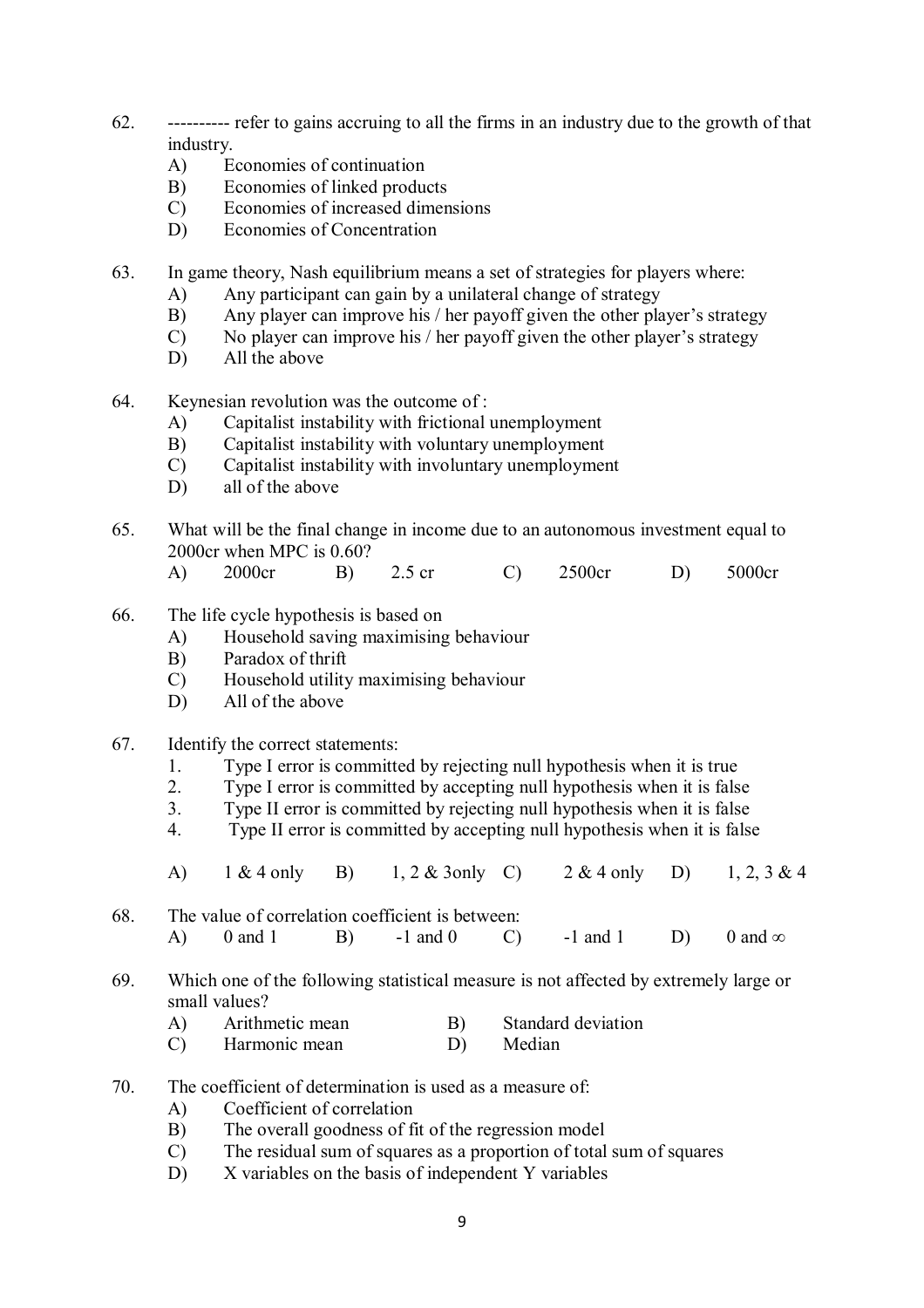- 62. ---------- refer to gains accruing to all the firms in an industry due to the growth of that industry.
	- A) Economies of continuation
	- B) Economies of linked products
	- C) Economies of increased dimensions
	- D) Economies of Concentration
- 63. In game theory, Nash equilibrium means a set of strategies for players where:
	- A) Any participant can gain by a unilateral change of strategy
	- B) Any player can improve his / her payoff given the other player's strategy
	- C) No player can improve his / her payoff given the other player's strategy
	- D) All the above
- 64. Keynesian revolution was the outcome of :
	- A) Capitalist instability with frictional unemployment<br>B) Capitalist instability with voluntary unemployment
	- Capitalist instability with voluntary unemployment
	- C) Capitalist instability with involuntary unemployment
	- D) all of the above
- 65. What will be the final change in income due to an autonomous investment equal to 2000cr when MPC is 0.60?
	- A) 2000cr B) 2.5 cr C) 2500cr D) 5000cr
- 66. The life cycle hypothesis is based on
	- A) Household saving maximising behaviour
	- B) Paradox of thrift
	- C) Household utility maximising behaviour
	- D) All of the above
- 67. Identify the correct statements:
	- 1. Type I error is committed by rejecting null hypothesis when it is true
	- 2. Type I error is committed by accepting null hypothesis when it is false
	- 3. Type II error is committed by rejecting null hypothesis when it is false
	- 4. Type II error is committed by accepting null hypothesis when it is false
	- A) 1 & 4 only B) 1, 2 & 3only C) 2 & 4 only D) 1, 2, 3 & 4
- 68. The value of correlation coefficient is between: A) 0 and 1 B) -1 and 0 C) -1 and 1 D) 0 and  $\infty$
- 69. Which one of the following statistical measure is not affected by extremely large or small values?
	- A) Arithmetic mean B) Standard deviation
	- C) Harmonic mean D) Median
- 70. The coefficient of determination is used as a measure of:
	- A) Coefficient of correlation
	- B) The overall goodness of fit of the regression model
	- C) The residual sum of squares as a proportion of total sum of squares
	- D) X variables on the basis of independent Y variables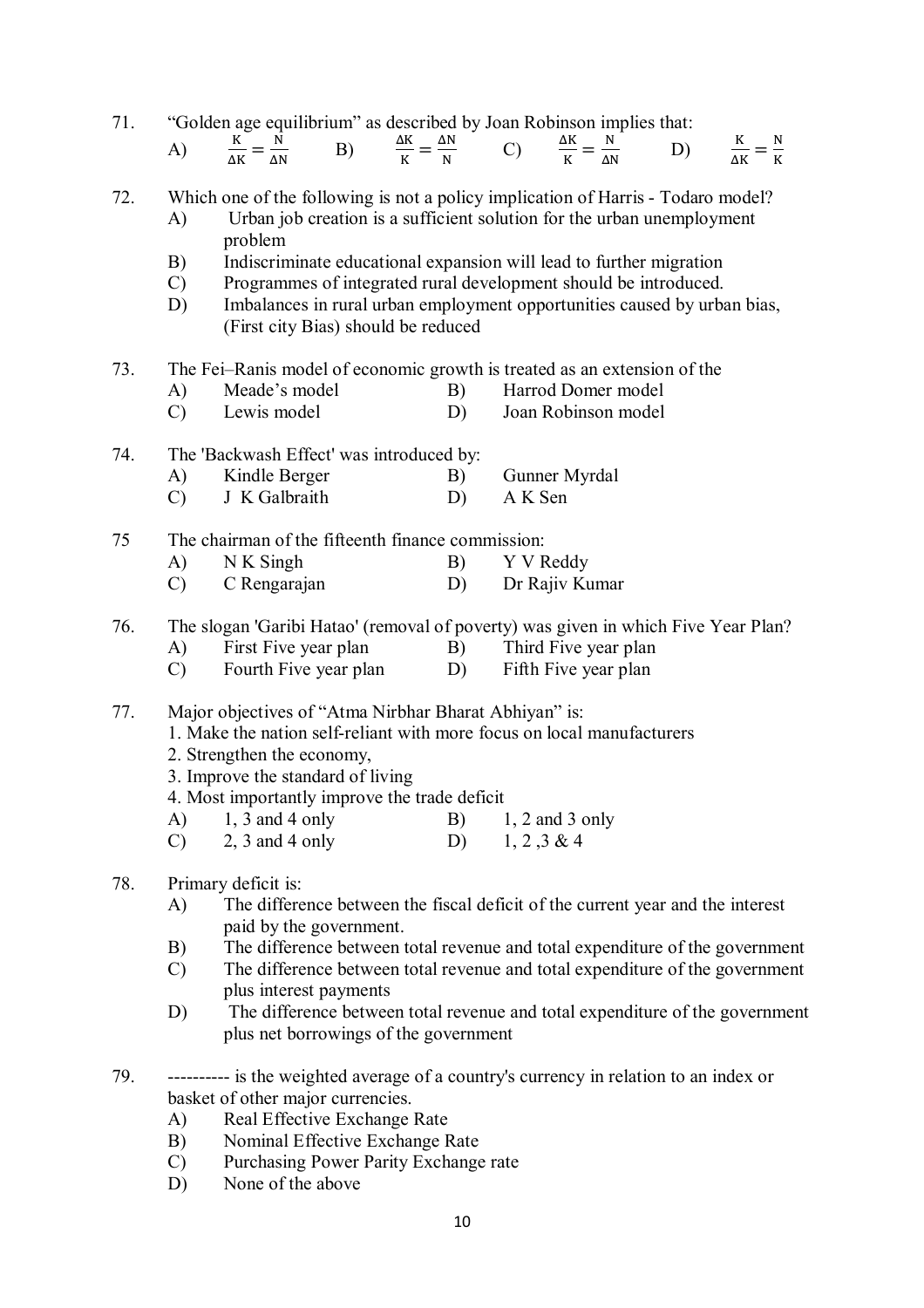| 71. | "Golden age equilibrium" as described by Joan Robinson implies that: |  |
|-----|----------------------------------------------------------------------|--|
|     |                                                                      |  |

| $\overline{\phantom{a}}$<br>A LZ<br>N<br>. .<br>--<br>---<br>and the control of | N<br>١N<br>-- |
|---------------------------------------------------------------------------------|---------------|
|---------------------------------------------------------------------------------|---------------|

## 72. Which one of the following is not a policy implication of Harris - Todaro model? A) Urban job creation is a sufficient solution for the urban unemployment

- problem
- B) Indiscriminate educational expansion will lead to further migration
- C) Programmes of integrated rural development should be introduced.
- D) Imbalances in rural urban employment opportunities caused by urban bias, (First city Bias) should be reduced
- 73. The Fei–Ranis model of economic growth is treated as an extension of the
	- A) Meade's model B) Harrod Domer model
	- C) Lewis model D) Joan Robinson model
- 74. The 'Backwash Effect' was introduced by:
	- A) Kindle Berger B) Gunner Myrdal
	- C) J K Galbraith D) A K Sen

75 The chairman of the fifteenth finance commission:

- A) N K Singh B) Y V Reddy
- C) C Rengarajan D) Dr Rajiv Kumar
- 76. The slogan 'Garibi Hatao' (removal of poverty) was given in which Five Year Plan?
	- A) First Five year plan B) Third Five year plan
	- C) Fourth Five year plan D) Fifth Five year plan

## 77. Major objectives of "Atma Nirbhar Bharat Abhiyan" is:

- 1. Make the nation self-reliant with more focus on local manufacturers
- 2. Strengthen the economy,
- 3. Improve the standard of living
- 4. Most importantly improve the trade deficit
- A) 1, 3 and 4 only B) 1, 2 and 3 only
- C) 2, 3 and 4 only D) 1, 2, 3 & 4

# 78. Primary deficit is:

- A) The difference between the fiscal deficit of the current year and the interest paid by the government.
- B) The difference between total revenue and total expenditure of the government
- C) The difference between total revenue and total expenditure of the government plus interest payments
- D) The difference between total revenue and total expenditure of the government plus net borrowings of the government
- 79. ---------- is the weighted average of a country's currency in relation to an index or basket of other major currencies.
	- A) Real Effective Exchange Rate
	- B) Nominal Effective Exchange Rate
	- C) Purchasing Power Parity Exchange rate
	- D) None of the above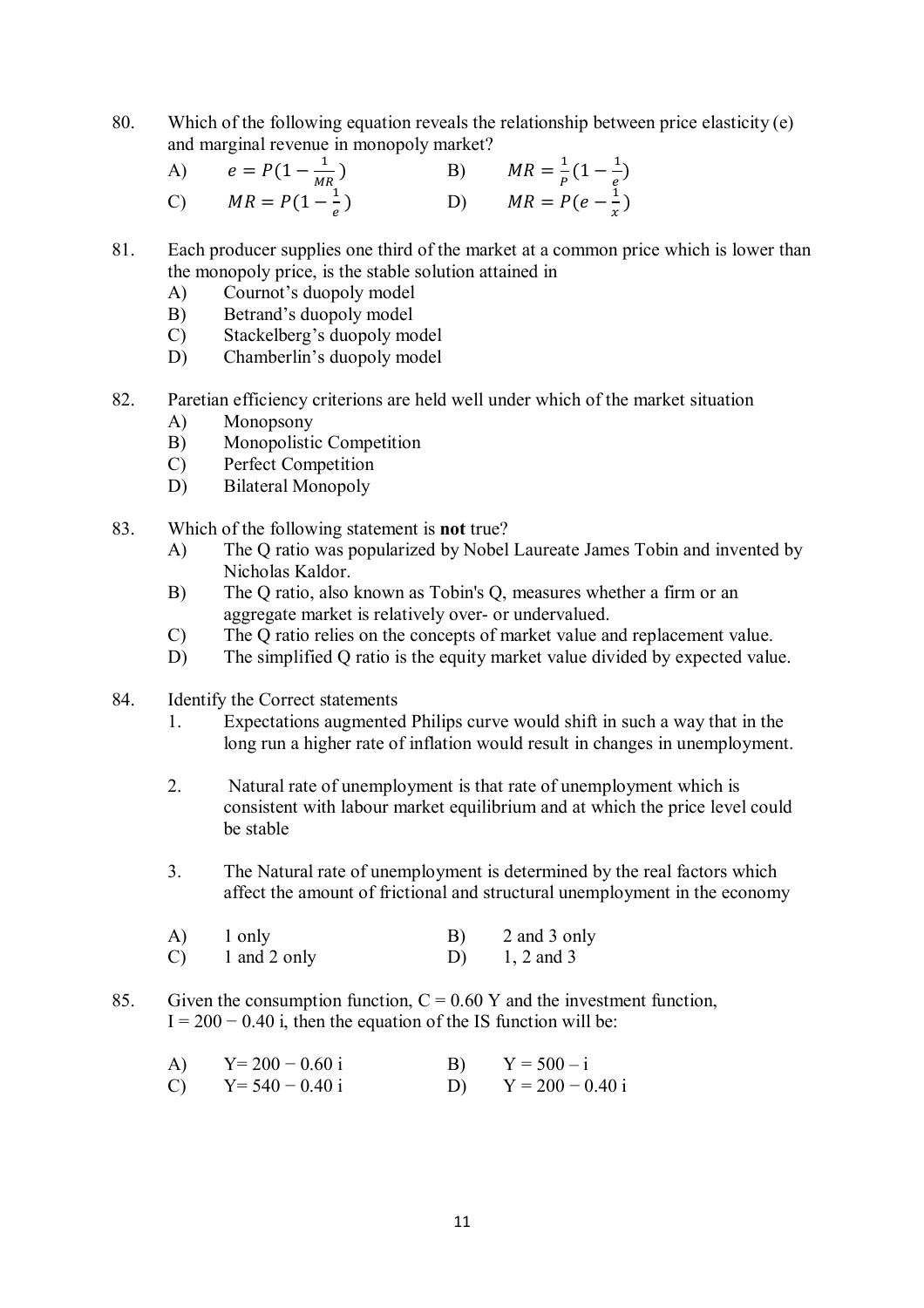80. Which of the following equation reveals the relationship between price elasticity (e) and marginal revenue in monopoly market?

| A) $e = P(1 - \frac{1}{MR})$ | B) $MR = \frac{1}{p}(1 - \frac{1}{e})$ |
|------------------------------|----------------------------------------|
| C) $MR = P(1 - \frac{1}{e})$ | D) $MR = P(e - \frac{1}{r})$           |

- 81. Each producer supplies one third of the market at a common price which is lower than the monopoly price, is the stable solution attained in
	- A) Cournot's duopoly model
	- B) Betrand's duopoly model
	- C) Stackelberg's duopoly model
	- D) Chamberlin's duopoly model
- 82. Paretian efficiency criterions are held well under which of the market situation
	- A) Monopsony
	- B) Monopolistic Competition
	- C) Perfect Competition
	- D) Bilateral Monopoly
- 83. Which of the following statement is **not** true?
	- A) The Q ratio was popularized by Nobel Laureate James Tobin and invented by Nicholas Kaldor.
	- B) The Q ratio, also known as Tobin's Q, measures whether a firm or an aggregate market is relatively over- or undervalued.
	- C) The Q ratio relies on the concepts of market value and replacement value.
	- D) The simplified Q ratio is the equity market value divided by expected value.
- 84. Identify the Correct statements
	- 1. Expectations augmented Philips curve would shift in such a way that in the long run a higher rate of inflation would result in changes in unemployment.
	- 2. Natural rate of unemployment is that rate of unemployment which is consistent with labour market equilibrium and at which the price level could be stable
	- 3. The Natural rate of unemployment is determined by the real factors which affect the amount of frictional and structural unemployment in the economy

| A) | 1 only       | B) | 2 and 3 only |
|----|--------------|----|--------------|
| C) | 1 and 2 only | D) | $1, 2$ and 3 |

85. Given the consumption function,  $C = 0.60$  Y and the investment function,  $I = 200 - 0.40$  i, then the equation of the IS function will be:

| A)            | $Y = 200 - 0.60 i$ | B) | $Y = 500 - i$      |
|---------------|--------------------|----|--------------------|
| $\mathcal{C}$ | $Y = 540 - 0.40 i$ | D) | $Y = 200 - 0.40$ i |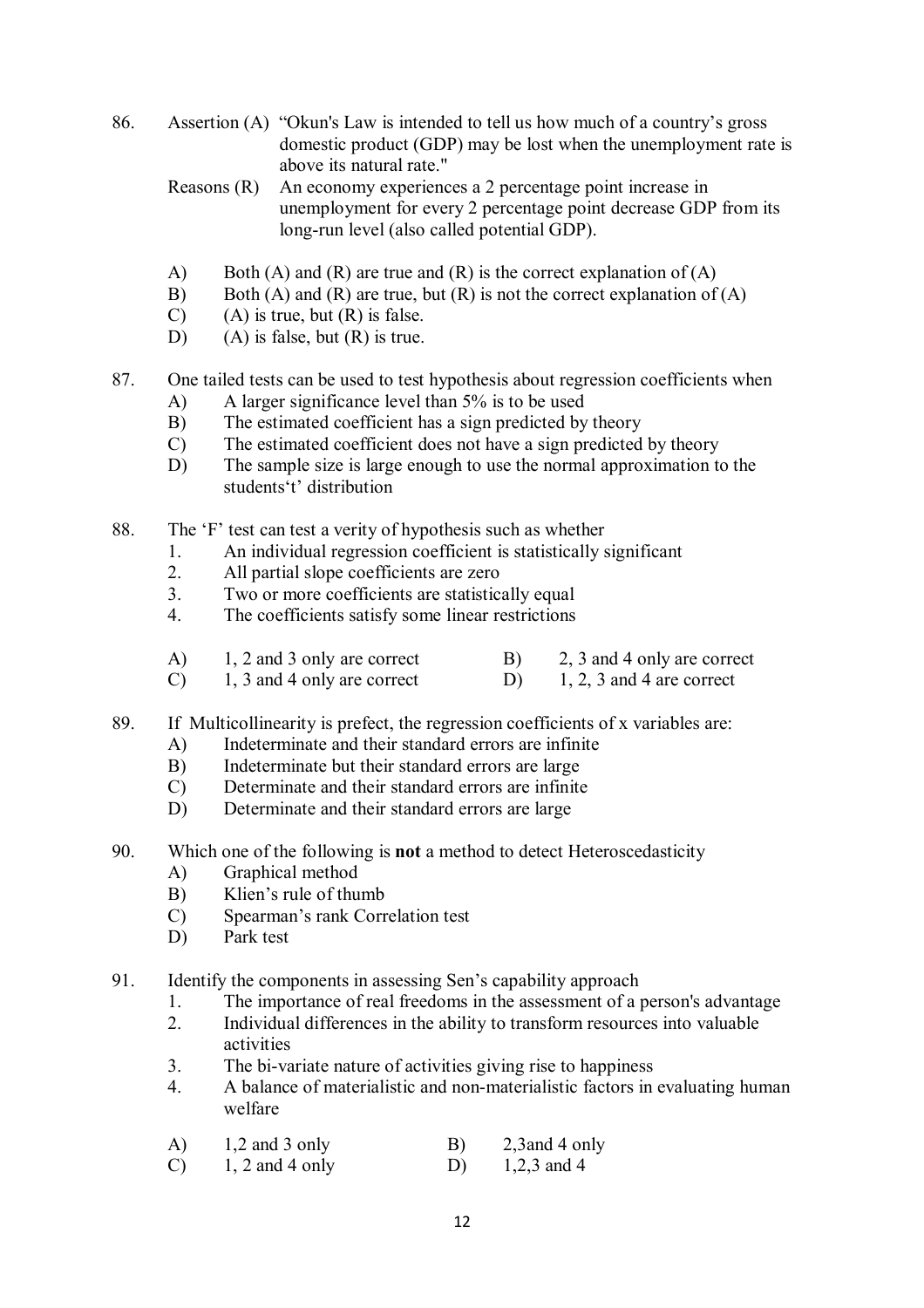- 86. Assertion (A) "Okun's Law is intended to tell us how much of a country's gross domestic product (GDP) may be lost when the unemployment rate is above its natural rate."
	- Reasons (R) An economy experiences a 2 percentage point increase in unemployment for every 2 percentage point decrease GDP from its long-run level (also called potential GDP).
	- A) Both (A) and (R) are true and (R) is the correct explanation of (A)
	- B) Both (A) and (R) are true, but (R) is not the correct explanation of (A)
	- $(C)$  (A) is true, but  $(R)$  is false.
	- D) (A) is false, but (R) is true.
- 87. One tailed tests can be used to test hypothesis about regression coefficients when
	- A) A larger significance level than 5% is to be used
	- B) The estimated coefficient has a sign predicted by theory<br>
	C) The estimated coefficient does not have a sign predicted
	- The estimated coefficient does not have a sign predicted by theory
	- D) The sample size is large enough to use the normal approximation to the students't' distribution
- 88. The 'F' test can test a verity of hypothesis such as whether
	- 1. An individual regression coefficient is statistically significant<br>2. All partial slope coefficients are zero
	- 2. All partial slope coefficients are zero<br>3 Two or more coefficients are statistics
	- Two or more coefficients are statistically equal
	- 4. The coefficients satisfy some linear restrictions

| A)            | 1, 2 and 3 only are correct | 2, 3 and 4 only are correct |
|---------------|-----------------------------|-----------------------------|
| $\mathcal{C}$ | 1, 3 and 4 only are correct | $1, 2, 3$ and 4 are correct |

- 89. If Multicollinearity is prefect, the regression coefficients of x variables are:
	- A) Indeterminate and their standard errors are infinite
	- B) Indeterminate but their standard errors are large
	- C) Determinate and their standard errors are infinite
	- D) Determinate and their standard errors are large
- 90. Which one of the following is **not** a method to detect Heteroscedasticity
	- A) Graphical method
	- B) Klien's rule of thumb
	- C) Spearman's rank Correlation test
	- D) Park test

91. Identify the components in assessing Sen's capability approach

- 1. The importance of real freedoms in the assessment of a person's advantage
- 2. Individual differences in the ability to transform resources into valuable activities
- 3. The bi-variate nature of activities giving rise to happiness
- 4. A balance of materialistic and non-materialistic factors in evaluating human welfare
- A)  $1,2$  and 3 only B)  $2,3$  and 4 only
- C)  $1, 2$  and  $4$  only D)  $1, 2, 3$  and  $4$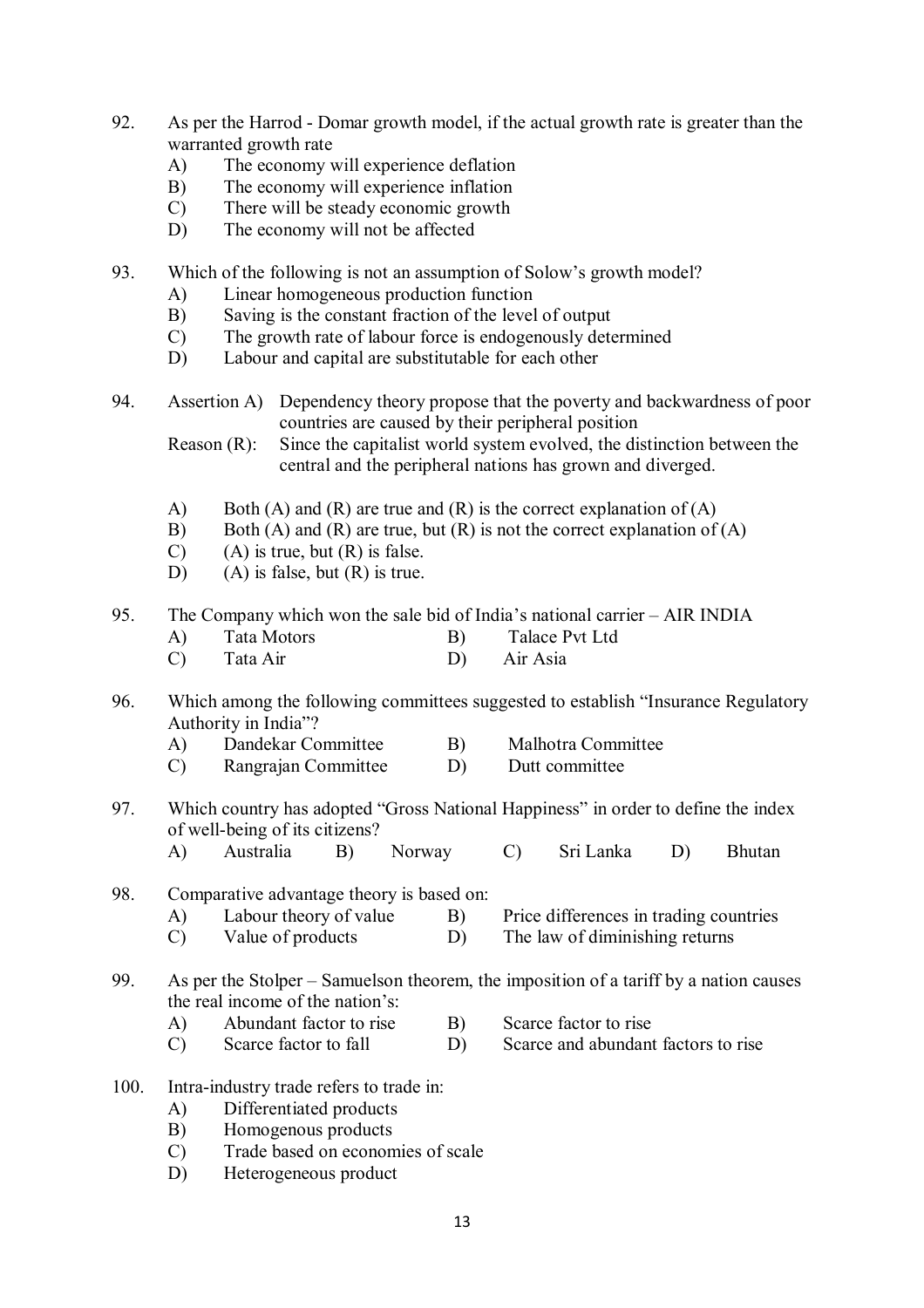- 92. As per the Harrod Domar growth model, if the actual growth rate is greater than the warranted growth rate
	- A) The economy will experience deflation
	- B) The economy will experience inflation
	- C) There will be steady economic growth
	- D) The economy will not be affected
- 93. Which of the following is not an assumption of Solow's growth model?
	- A) Linear homogeneous production function
	- B) Saving is the constant fraction of the level of output
	- C) The growth rate of labour force is endogenously determined
	- D) Labour and capital are substitutable for each other
- 94. Assertion A) Dependency theory propose that the poverty and backwardness of poor countries are caused by their peripheral position

Reason (R): Since the capitalist world system evolved, the distinction between the central and the peripheral nations has grown and diverged.

- A) Both (A) and (R) are true and (R) is the correct explanation of (A)
- B) Both (A) and (R) are true, but (R) is not the correct explanation of (A)
- $(C)$  (A) is true, but  $(R)$  is false.
- D) (A) is false, but  $(R)$  is true.
- 95. The Company which won the sale bid of India's national carrier AIR INDIA
	- A) Tata Motors B) Talace Pvt Ltd
	- C) Tata Air D) Air Asia
- 96. Which among the following committees suggested to establish "Insurance Regulatory Authority in India"?
	- A) Dandekar Committee B) Malhotra Committee
	- C) Rangrajan Committee D) Dutt committee
- 97. Which country has adopted "Gross National Happiness" in order to define the index of well-being of its citizens?
	- A) Australia B) Norway C) Sri Lanka D) Bhutan
- 98. Comparative advantage theory is based on:
	- A) Labour theory of value B) Price differences in trading countries
	- C) Value of products D) The law of diminishing returns
- 99. As per the Stolper Samuelson theorem, the imposition of a tariff by a nation causes the real income of the nation's:
	- A) Abundant factor to rise B) Scarce factor to rise
	- C) Scarce factor to fall D) Scarce and abundant factors to rise
- 100. Intra-industry trade refers to trade in:
	- A) Differentiated products
	- B) Homogenous products
	- C) Trade based on economies of scale
	- D) Heterogeneous product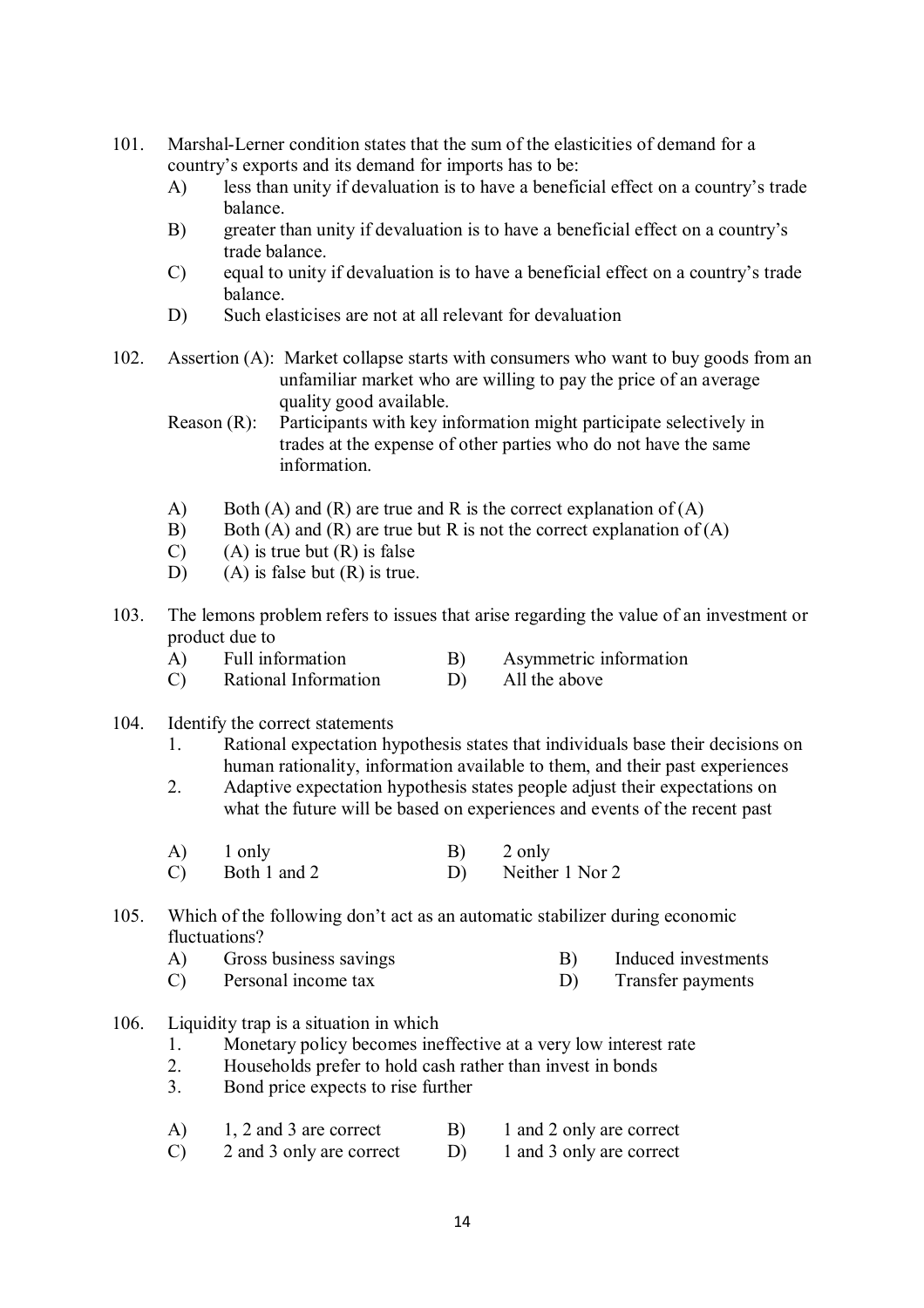- 101. Marshal-Lerner condition states that the sum of the elasticities of demand for a country's exports and its demand for imports has to be:
	- A) less than unity if devaluation is to have a beneficial effect on a country's trade balance.
	- B) greater than unity if devaluation is to have a beneficial effect on a country's trade balance.
	- C) equal to unity if devaluation is to have a beneficial effect on a country's trade balance.
	- D) Such elasticises are not at all relevant for devaluation
- 102. Assertion (A): Market collapse starts with consumers who want to buy goods from an unfamiliar market who are willing to pay the price of an average quality good available.
	- Reason (R): Participants with key information might participate selectively in trades at the expense of other parties who do not have the same information.
	- A) Both (A) and (R) are true and R is the correct explanation of (A)
	- B) Both (A) and (R) are true but R is not the correct explanation of (A)
	- $(C)$  (A) is true but  $(R)$  is false
	- D) (A) is false but  $(R)$  is true.
- 103. The lemons problem refers to issues that arise regarding the value of an investment or product due to
	- A) Full information B) Asymmetric information<br>
	C) Rational Information D) All the above
	- $(C)$  Rational Information  $(D)$
- 104. Identify the correct statements
	- 1. Rational expectation hypothesis states that individuals base their decisions on human rationality, information available to them, and their past experiences
	- 2. Adaptive expectation hypothesis states people adjust their expectations on what the future will be based on experiences and events of the recent past
	- A) 1 only B) 2 only
	- C) Both 1 and 2 D) Neither 1 Nor 2

### 105. Which of the following don't act as an automatic stabilizer during economic fluctuations?

- A) Gross business savings B) Induced investments
- C) Personal income tax D) Transfer payments
- 106. Liquidity trap is a situation in which
	- 1. Monetary policy becomes ineffective at a very low interest rate
	- 2. Households prefer to hold cash rather than invest in bonds
	- 3. Bond price expects to rise further
	- A) 1, 2 and 3 are correct B) 1 and 2 only are correct
	- C) 2 and 3 only are correct D) 1 and 3 only are correct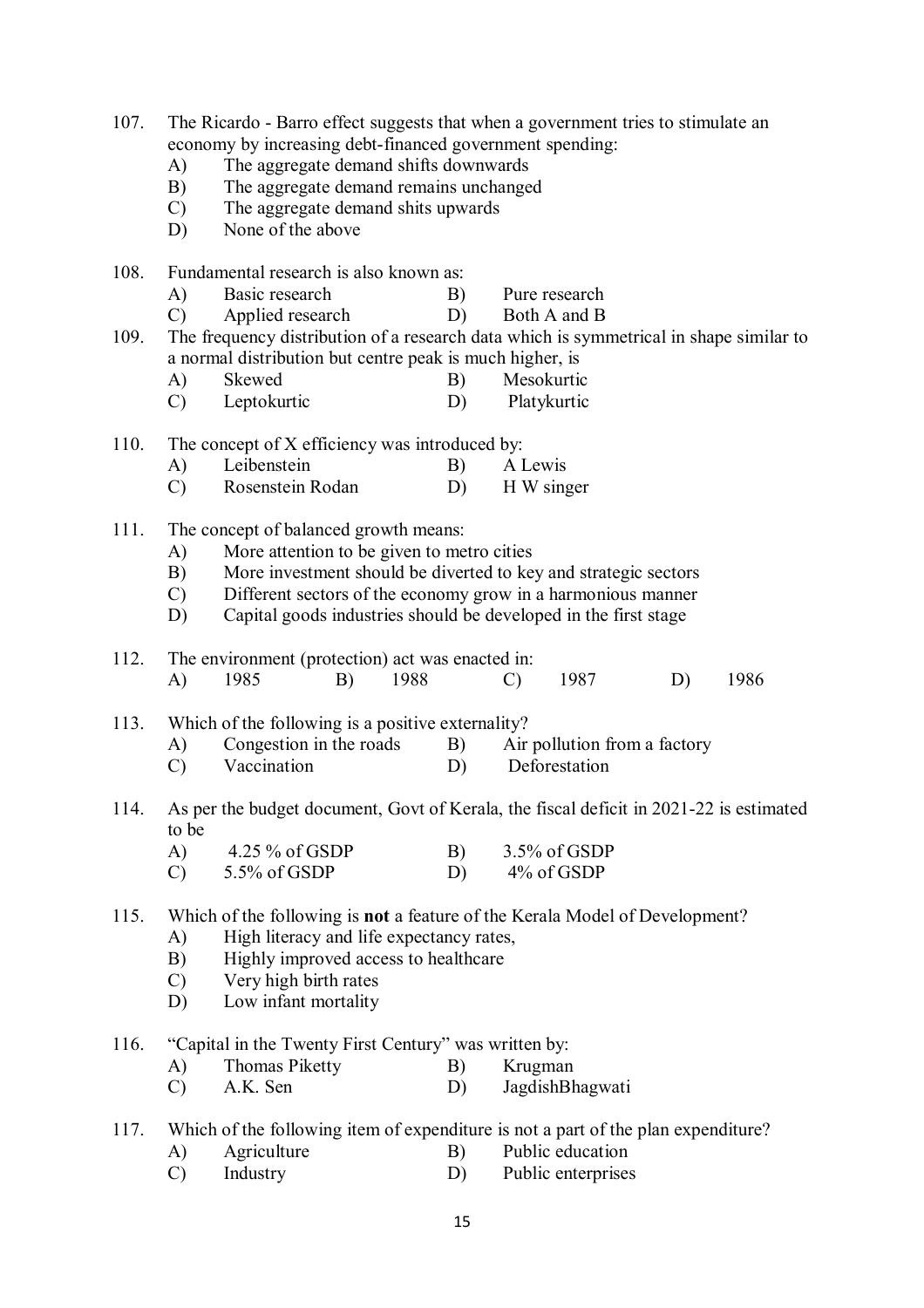| 107.                                                   | A)<br>B)<br>$\mathcal{C}$<br>D)                                                                                                                    | The Ricardo - Barro effect suggests that when a government tries to stimulate an<br>economy by increasing debt-financed government spending:<br>The aggregate demand shifts downwards<br>The aggregate demand remains unchanged<br>The aggregate demand shits upwards<br>None of the above |                                                                                   |      |          |               |                               |                              |      |  |
|--------------------------------------------------------|----------------------------------------------------------------------------------------------------------------------------------------------------|--------------------------------------------------------------------------------------------------------------------------------------------------------------------------------------------------------------------------------------------------------------------------------------------|-----------------------------------------------------------------------------------|------|----------|---------------|-------------------------------|------------------------------|------|--|
| 108.                                                   |                                                                                                                                                    | Fundamental research is also known as:                                                                                                                                                                                                                                                     |                                                                                   |      |          |               |                               |                              |      |  |
|                                                        | A)<br>$\mathcal{C}$                                                                                                                                | Basic research<br>Applied research                                                                                                                                                                                                                                                         |                                                                                   |      | B)<br>D) |               | Pure research<br>Both A and B |                              |      |  |
| 109.                                                   | The frequency distribution of a research data which is symmetrical in shape similar to<br>a normal distribution but centre peak is much higher, is |                                                                                                                                                                                                                                                                                            |                                                                                   |      |          |               |                               |                              |      |  |
|                                                        | A)                                                                                                                                                 | Skewed                                                                                                                                                                                                                                                                                     |                                                                                   |      | B)       |               | Mesokurtic                    |                              |      |  |
|                                                        | $\mathcal{C}$                                                                                                                                      | Leptokurtic                                                                                                                                                                                                                                                                                |                                                                                   |      | D)       |               | Platykurtic                   |                              |      |  |
| 110.<br>The concept of X efficiency was introduced by: |                                                                                                                                                    |                                                                                                                                                                                                                                                                                            |                                                                                   |      |          |               |                               |                              |      |  |
|                                                        | A)                                                                                                                                                 | Leibenstein                                                                                                                                                                                                                                                                                |                                                                                   |      | B)       | A Lewis       |                               |                              |      |  |
|                                                        | $\mathcal{C}$                                                                                                                                      | Rosenstein Rodan                                                                                                                                                                                                                                                                           |                                                                                   |      | D)       |               | H W singer                    |                              |      |  |
| 111.                                                   |                                                                                                                                                    | The concept of balanced growth means:                                                                                                                                                                                                                                                      |                                                                                   |      |          |               |                               |                              |      |  |
|                                                        | A)                                                                                                                                                 | More attention to be given to metro cities                                                                                                                                                                                                                                                 |                                                                                   |      |          |               |                               |                              |      |  |
|                                                        | B)<br>$\mathcal{C}$                                                                                                                                | More investment should be diverted to key and strategic sectors<br>Different sectors of the economy grow in a harmonious manner                                                                                                                                                            |                                                                                   |      |          |               |                               |                              |      |  |
|                                                        | D)                                                                                                                                                 | Capital goods industries should be developed in the first stage                                                                                                                                                                                                                            |                                                                                   |      |          |               |                               |                              |      |  |
| 112.                                                   |                                                                                                                                                    | The environment (protection) act was enacted in:                                                                                                                                                                                                                                           |                                                                                   |      |          |               |                               |                              |      |  |
|                                                        | A)                                                                                                                                                 | 1985                                                                                                                                                                                                                                                                                       | B)                                                                                | 1988 |          | $\mathcal{C}$ | 1987                          | D)                           | 1986 |  |
| 113.                                                   |                                                                                                                                                    | Which of the following is a positive externality?                                                                                                                                                                                                                                          |                                                                                   |      |          |               |                               |                              |      |  |
|                                                        | A)                                                                                                                                                 | Congestion in the roads                                                                                                                                                                                                                                                                    |                                                                                   |      | B)       |               |                               | Air pollution from a factory |      |  |
|                                                        | $\mathcal{C}$                                                                                                                                      | Vaccination                                                                                                                                                                                                                                                                                |                                                                                   |      | D)       |               | Deforestation                 |                              |      |  |
| 114.                                                   | As per the budget document, Govt of Kerala, the fiscal deficit in 2021-22 is estimated<br>to be                                                    |                                                                                                                                                                                                                                                                                            |                                                                                   |      |          |               |                               |                              |      |  |
|                                                        | A)                                                                                                                                                 | 4.25 $%$ of GSDP                                                                                                                                                                                                                                                                           |                                                                                   |      | B)       |               | 3.5% of GSDP                  |                              |      |  |
|                                                        | $\mathcal{C}$                                                                                                                                      | 5.5% of GSDP                                                                                                                                                                                                                                                                               |                                                                                   |      | D)       |               | 4% of GSDP                    |                              |      |  |
| 115.                                                   | Which of the following is <b>not</b> a feature of the Kerala Model of Development?                                                                 |                                                                                                                                                                                                                                                                                            |                                                                                   |      |          |               |                               |                              |      |  |
|                                                        | High literacy and life expectancy rates,<br>A)                                                                                                     |                                                                                                                                                                                                                                                                                            |                                                                                   |      |          |               |                               |                              |      |  |
|                                                        | B)                                                                                                                                                 | Highly improved access to healthcare                                                                                                                                                                                                                                                       |                                                                                   |      |          |               |                               |                              |      |  |
|                                                        | $\mathcal{C}$<br>D)                                                                                                                                | Very high birth rates<br>Low infant mortality                                                                                                                                                                                                                                              |                                                                                   |      |          |               |                               |                              |      |  |
| 116.                                                   |                                                                                                                                                    | "Capital in the Twenty First Century" was written by:                                                                                                                                                                                                                                      |                                                                                   |      |          |               |                               |                              |      |  |
|                                                        | A)                                                                                                                                                 | <b>Thomas Piketty</b>                                                                                                                                                                                                                                                                      |                                                                                   |      | B)       | Krugman       |                               |                              |      |  |
|                                                        | $\mathcal{C}$                                                                                                                                      | A.K. Sen                                                                                                                                                                                                                                                                                   |                                                                                   |      | D)       |               | JagdishBhagwati               |                              |      |  |
| 117.                                                   |                                                                                                                                                    |                                                                                                                                                                                                                                                                                            | Which of the following item of expenditure is not a part of the plan expenditure? |      |          |               |                               |                              |      |  |
|                                                        | A)                                                                                                                                                 | Agriculture                                                                                                                                                                                                                                                                                |                                                                                   |      | B)       |               | Public education              |                              |      |  |

C) Industry D) Public enterprises